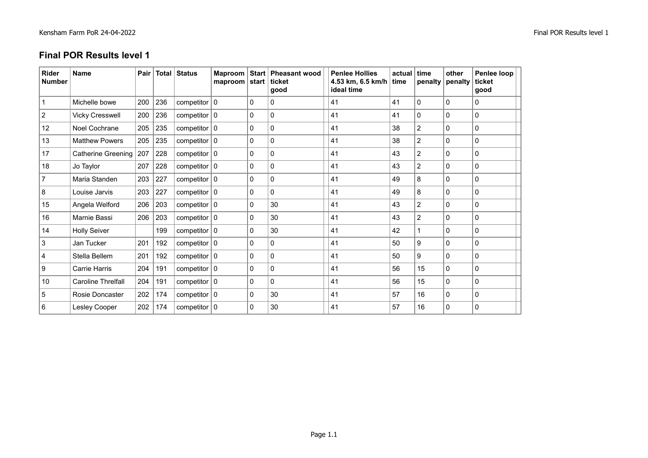## **Final POR Results level 1**

| <b>Rider</b><br><b>Number</b> | <b>Name</b>              | Pair |     | Total Status               | maproom start |              | Maproom Start Pheasant wood<br>ticket<br>qood | <b>Penlee Hollies</b><br>4.53 km, 6.5 km/h $ $ time<br>ideal time | actual | ∣ time<br>penalty | other<br>penalty | Penlee loop<br>ticket<br>good |
|-------------------------------|--------------------------|------|-----|----------------------------|---------------|--------------|-----------------------------------------------|-------------------------------------------------------------------|--------|-------------------|------------------|-------------------------------|
|                               | Michelle bowe            | 200  | 236 | competitor $\vert 0 \vert$ |               | $\mathbf{0}$ | 0                                             | 41                                                                | 41     | $\mathbf{0}$      | $\mathbf{0}$     | $\mathbf{0}$                  |
| $\overline{2}$                | <b>Vicky Cresswell</b>   | 200  | 236 | competitor $\vert 0 \vert$ |               | $\mathbf{0}$ | $\mathbf{0}$                                  | 41                                                                | 41     | $\mathbf{0}$      | $\mathbf{0}$     | $\Omega$                      |
| 12                            | Noel Cochrane            | 205  | 235 | competitor $\vert 0 \vert$ |               | $\mathbf{0}$ | $\Omega$                                      | 41                                                                | 38     | 2                 | $\Omega$         | $\mathbf{0}$                  |
| 13                            | <b>Matthew Powers</b>    | 205  | 235 | competitor $ 0 $           |               | $\mathbf{0}$ | $\mathbf{0}$                                  | 41                                                                | 38     | 2                 | $\Omega$         | $\mathbf{0}$                  |
| 17                            | Catherine Greening   207 |      | 228 | competitor $ 0 $           |               | $\mathbf{0}$ | $\Omega$                                      | 41                                                                | 43     | $\overline{2}$    | $\Omega$         | $\Omega$                      |
| 18                            | Jo Taylor                | 207  | 228 | competitor $\vert 0 \vert$ |               | $\mathbf{0}$ | $\mathbf{0}$                                  | 41                                                                | 43     | $\overline{c}$    | $\mathbf{0}$     | 0                             |
| 7                             | Maria Standen            | 203  | 227 | competitor $\vert 0 \vert$ |               | 0            | $\Omega$                                      | 41                                                                | 49     | 8                 | $\mathbf{0}$     | $\mathbf 0$                   |
| 8                             | Louise Jarvis            | 203  | 227 | competitor $ 0 $           |               | 0            | $\mathbf{0}$                                  | 41                                                                | 49     | 8                 | $\mathbf{0}$     | $\mathbf{0}$                  |
| 15                            | Angela Welford           | 206  | 203 | competitor $ 0 $           |               | 0            | 30                                            | 41                                                                | 43     | $\overline{2}$    | $\mathbf{0}$     | 0                             |
| 16                            | Marnie Bassi             | 206  | 203 | competitor $ 0 $           |               | $\mathbf{0}$ | 30                                            | 41                                                                | 43     | 2                 | $\mathbf{0}$     | 0                             |
| 14                            | <b>Holly Seiver</b>      |      | 199 | competitor $ 0 $           |               | $\mathbf{0}$ | 30                                            | 41                                                                | 42     |                   | $\Omega$         | $\mathbf{0}$                  |
| 3                             | Jan Tucker               | 201  | 192 | competitor $\vert 0 \vert$ |               | $\mathbf{0}$ | $\mathbf{0}$                                  | 41                                                                | 50     | 9                 | $\mathbf{0}$     | $\mathbf{0}$                  |
| 4                             | Stella Bellem            | 201  | 192 | competitor $ 0 $           |               | $\mathbf{0}$ | $\Omega$                                      | 41                                                                | 50     | 9                 | $\Omega$         | $\Omega$                      |
| 9                             | Carrie Harris            | 204  | 191 | competitor $\vert 0 \vert$ |               | $\mathbf{0}$ | $\mathbf{0}$                                  | 41                                                                | 56     | 15                | $\mathbf{0}$     | $\mathbf{0}$                  |
| 10                            | Caroline Threlfall       | 204  | 191 | competitor $\vert 0 \vert$ |               | $\mathbf{0}$ | $\mathbf{0}$                                  | 41                                                                | 56     | 15                | $\mathbf{0}$     | $\mathbf{0}$                  |
| 5                             | Rosie Doncaster          | 202  | 174 | competitor $\vert 0 \vert$ |               | $\mathbf{0}$ | 30                                            | 41                                                                | 57     | 16                | $\mathbf{0}$     | $\mathbf{0}$                  |
| 6                             | Lesley Cooper            | 202  | 174 | competitor $\vert 0 \vert$ |               | $\mathbf{0}$ | 30                                            | 41                                                                | 57     | 16                | $\mathbf{0}$     | $\mathbf{0}$                  |